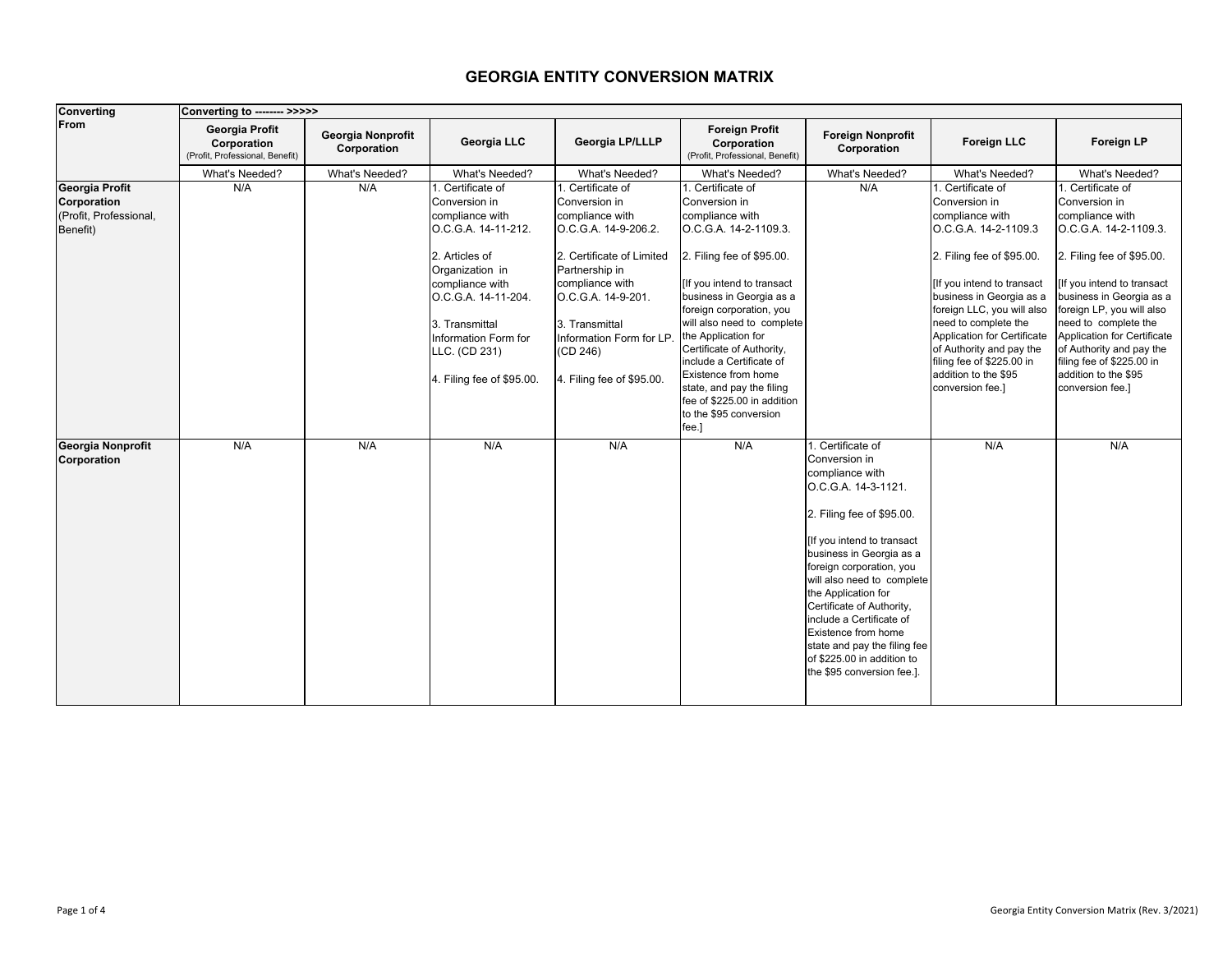## **GEORGIA ENTITY CONVERSION MATRIX**

| <b>Converting</b>                                                   | Converting to -------- >>>>>                                            |                                  |                                                                                                                                                                                                                                                    |                                                                                                                                                                                                                                                             |                                                                                                                                                                                                                                                                                                                                                                                                                                      |                                                                                                                                                                                                                                                                                                                                                                                                                                         |                                                                                                                                                                                                                                                                                                                                                                |                                                                                                                                                                                                                                                                                                                                                            |
|---------------------------------------------------------------------|-------------------------------------------------------------------------|----------------------------------|----------------------------------------------------------------------------------------------------------------------------------------------------------------------------------------------------------------------------------------------------|-------------------------------------------------------------------------------------------------------------------------------------------------------------------------------------------------------------------------------------------------------------|--------------------------------------------------------------------------------------------------------------------------------------------------------------------------------------------------------------------------------------------------------------------------------------------------------------------------------------------------------------------------------------------------------------------------------------|-----------------------------------------------------------------------------------------------------------------------------------------------------------------------------------------------------------------------------------------------------------------------------------------------------------------------------------------------------------------------------------------------------------------------------------------|----------------------------------------------------------------------------------------------------------------------------------------------------------------------------------------------------------------------------------------------------------------------------------------------------------------------------------------------------------------|------------------------------------------------------------------------------------------------------------------------------------------------------------------------------------------------------------------------------------------------------------------------------------------------------------------------------------------------------------|
| From                                                                | <b>Georgia Profit</b><br>Corporation<br>(Profit, Professional, Benefit) | Georgia Nonprofit<br>Corporation | Georgia LLC                                                                                                                                                                                                                                        | <b>Georgia LP/LLLP</b>                                                                                                                                                                                                                                      | <b>Foreign Profit</b><br>Corporation<br>(Profit, Professional, Benefit)                                                                                                                                                                                                                                                                                                                                                              | <b>Foreign Nonprofit</b><br>Corporation                                                                                                                                                                                                                                                                                                                                                                                                 | <b>Foreign LLC</b>                                                                                                                                                                                                                                                                                                                                             | Foreign LP                                                                                                                                                                                                                                                                                                                                                 |
|                                                                     | What's Needed?                                                          | What's Needed?                   | What's Needed?                                                                                                                                                                                                                                     | What's Needed?                                                                                                                                                                                                                                              | What's Needed?                                                                                                                                                                                                                                                                                                                                                                                                                       | What's Needed?                                                                                                                                                                                                                                                                                                                                                                                                                          | What's Needed?                                                                                                                                                                                                                                                                                                                                                 | What's Needed?                                                                                                                                                                                                                                                                                                                                             |
| Georgia Profit<br>Corporation<br>(Profit, Professional,<br>Benefit) | N/A                                                                     | N/A                              | . Certificate of<br>Conversion in<br>compliance with<br>O.C.G.A. 14-11-212.<br>2. Articles of<br>Organization in<br>compliance with<br>O.C.G.A. 14-11-204.<br>3. Transmittal<br>Information Form for<br>LLC. (CD 231)<br>4. Filing fee of \$95.00. | 1. Certificate of<br>Conversion in<br>compliance with<br>O.C.G.A. 14-9-206.2.<br>2. Certificate of Limited<br>Partnership in<br>compliance with<br>O.C.G.A. 14-9-201.<br>3. Transmittal<br>Information Form for LP.<br>(CD 246)<br>. Filing fee of \$95.00. | . Certificate of<br>Conversion in<br>compliance with<br>O.C.G.A. 14-2-1109.3.<br>2. Filing fee of \$95.00.<br>[If you intend to transact<br>business in Georgia as a<br>foreign corporation, you<br>will also need to complete<br>the Application for<br>Certificate of Authority,<br>include a Certificate of<br>Existence from home<br>state, and pay the filing<br>fee of \$225.00 in addition<br>to the \$95 conversion<br>fee.] | N/A                                                                                                                                                                                                                                                                                                                                                                                                                                     | 1. Certificate of<br>Conversion in<br>compliance with<br>O.C.G.A. 14-2-1109.3<br>2. Filing fee of \$95.00.<br>[If you intend to transact<br>business in Georgia as a<br>foreign LLC, you will also<br>need to complete the<br>Application for Certificate<br>of Authority and pay the<br>filing fee of \$225.00 in<br>addition to the \$95<br>conversion fee.] | Certificate of<br>Conversion in<br>compliance with<br>O.C.G.A. 14-2-1109.3.<br>2. Filing fee of \$95.00.<br>If you intend to transact<br>business in Georgia as a<br>foreign LP, you will also<br>need to complete the<br>Application for Certificate<br>of Authority and pay the<br>filing fee of \$225.00 in<br>addition to the \$95<br>conversion fee.] |
| Georgia Nonprofit<br>Corporation                                    | N/A                                                                     | N/A                              | N/A                                                                                                                                                                                                                                                | N/A                                                                                                                                                                                                                                                         | N/A                                                                                                                                                                                                                                                                                                                                                                                                                                  | 1. Certificate of<br>Conversion in<br>compliance with<br>O.C.G.A. 14-3-1121.<br>2. Filing fee of \$95.00.<br>[If you intend to transact<br>business in Georgia as a<br>foreign corporation, you<br>will also need to complete<br>the Application for<br>Certificate of Authority,<br>include a Certificate of<br><b>Existence from home</b><br>state and pay the filing fee<br>of \$225.00 in addition to<br>the \$95 conversion fee.]. | N/A                                                                                                                                                                                                                                                                                                                                                            | N/A                                                                                                                                                                                                                                                                                                                                                        |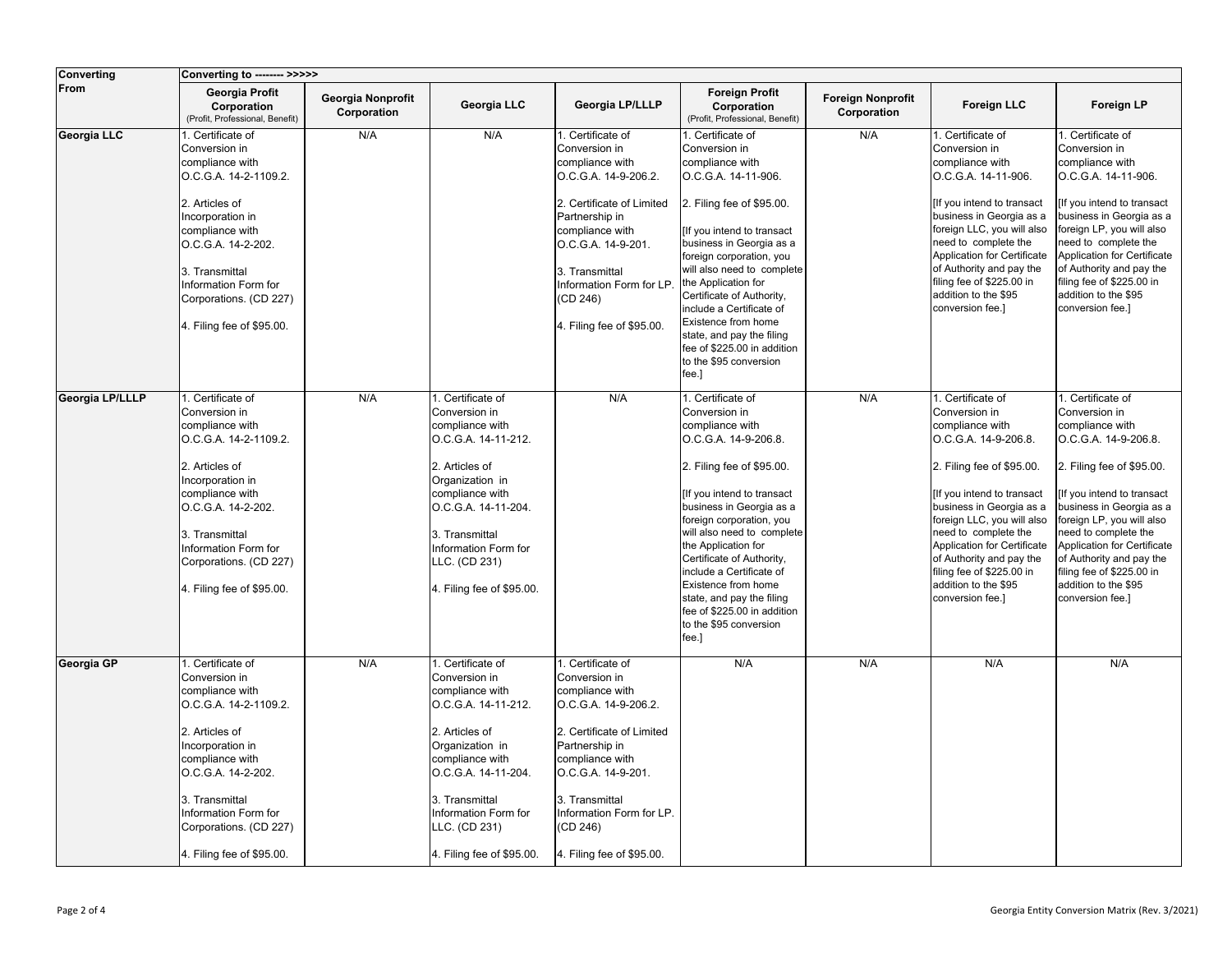| <b>Converting</b> | Converting to -------- >>>>>                                                                                                                                                                                                                                   |                                  |                                                                                                                                                                                                                                                     |                                                                                                                                                                                                                                                             |                                                                                                                                                                                                                                                                                                                                                                                                                                      |                                         |                                                                                                                                                                                                                                                                                                                                                                |                                                                                                                                                                                                                                                                                                                                                               |
|-------------------|----------------------------------------------------------------------------------------------------------------------------------------------------------------------------------------------------------------------------------------------------------------|----------------------------------|-----------------------------------------------------------------------------------------------------------------------------------------------------------------------------------------------------------------------------------------------------|-------------------------------------------------------------------------------------------------------------------------------------------------------------------------------------------------------------------------------------------------------------|--------------------------------------------------------------------------------------------------------------------------------------------------------------------------------------------------------------------------------------------------------------------------------------------------------------------------------------------------------------------------------------------------------------------------------------|-----------------------------------------|----------------------------------------------------------------------------------------------------------------------------------------------------------------------------------------------------------------------------------------------------------------------------------------------------------------------------------------------------------------|---------------------------------------------------------------------------------------------------------------------------------------------------------------------------------------------------------------------------------------------------------------------------------------------------------------------------------------------------------------|
| From              | Georgia Profit<br>Corporation<br>(Profit, Professional, Benefit)                                                                                                                                                                                               | Georgia Nonprofit<br>Corporation | Georgia LLC                                                                                                                                                                                                                                         | Georgia LP/LLLP                                                                                                                                                                                                                                             | <b>Foreign Profit</b><br>Corporation<br>(Profit, Professional, Benefit)                                                                                                                                                                                                                                                                                                                                                              | <b>Foreign Nonprofit</b><br>Corporation | <b>Foreign LLC</b>                                                                                                                                                                                                                                                                                                                                             | Foreign LP                                                                                                                                                                                                                                                                                                                                                    |
| Georgia LLC       | 1. Certificate of<br>Conversion in<br>compliance with<br>O.C.G.A. 14-2-1109.2.<br>2. Articles of<br>Incorporation in<br>compliance with<br>O.C.G.A. 14-2-202.<br>3. Transmittal<br>Information Form for<br>Corporations. (CD 227)<br>4. Filing fee of \$95.00. | N/A                              | N/A                                                                                                                                                                                                                                                 | . Certificate of<br>Conversion in<br>compliance with<br>O.C.G.A. 14-9-206.2.<br>2. Certificate of Limited<br>Partnership in<br>compliance with<br>O.C.G.A. 14-9-201.<br>3. Transmittal<br>Information Form for LP.<br>(CD 246)<br>4. Filing fee of \$95.00. | 1. Certificate of<br>Conversion in<br>compliance with<br>O.C.G.A. 14-11-906.<br>2. Filing fee of \$95.00.<br>[If you intend to transact<br>business in Georgia as a<br>foreign corporation, you<br>will also need to complete<br>the Application for<br>Certificate of Authority,<br>include a Certificate of<br>Existence from home<br>state, and pay the filing<br>fee of \$225.00 in addition<br>to the \$95 conversion<br>fee.]  | N/A                                     | 1. Certificate of<br>Conversion in<br>compliance with<br>O.C.G.A. 14-11-906.<br>[If you intend to transact<br>business in Georgia as a<br>foreign LLC, you will also<br>need to complete the<br>Application for Certificate<br>of Authority and pay the<br>filing fee of \$225.00 in<br>addition to the \$95<br>conversion fee.]                               | 1. Certificate of<br>Conversion in<br>compliance with<br>O.C.G.A. 14-11-906.<br>If you intend to transact<br>business in Georgia as a<br>foreign LP, you will also<br>need to complete the<br>Application for Certificate<br>of Authority and pay the<br>filing fee of \$225.00 in<br>addition to the \$95<br>conversion fee.]                                |
| Georgia LP/LLLP   | 1. Certificate of<br>Conversion in<br>compliance with<br>O.C.G.A. 14-2-1109.2.<br>2. Articles of<br>Incorporation in<br>compliance with<br>O.C.G.A. 14-2-202.<br>3. Transmittal<br>Information Form for<br>Corporations. (CD 227)<br>4. Filing fee of \$95.00. | N/A                              | 1. Certificate of<br>Conversion in<br>compliance with<br>O.C.G.A. 14-11-212.<br>2. Articles of<br>Organization in<br>compliance with<br>O.C.G.A. 14-11-204.<br>3. Transmittal<br>Information Form for<br>LLC. (CD 231)<br>4. Filing fee of \$95.00. | N/A                                                                                                                                                                                                                                                         | 1. Certificate of<br>Conversion in<br>compliance with<br>O.C.G.A. 14-9-206.8.<br>2. Filing fee of \$95.00.<br>[If you intend to transact<br>business in Georgia as a<br>foreign corporation, you<br>will also need to complete<br>the Application for<br>Certificate of Authority,<br>include a Certificate of<br>Existence from home<br>state, and pay the filing<br>fee of \$225.00 in addition<br>to the \$95 conversion<br>fee.] | N/A                                     | 1. Certificate of<br>Conversion in<br>compliance with<br>O.C.G.A. 14-9-206.8.<br>2. Filing fee of \$95.00.<br>[If you intend to transact<br>business in Georgia as a<br>foreign LLC, you will also<br>need to complete the<br>Application for Certificate<br>of Authority and pay the<br>filing fee of \$225.00 in<br>addition to the \$95<br>conversion fee.] | 1. Certificate of<br>Conversion in<br>compliance with<br>O.C.G.A. 14-9-206.8.<br>2. Filing fee of \$95.00.<br>[If you intend to transact<br>business in Georgia as a<br>foreign LP, you will also<br>need to complete the<br>Application for Certificate<br>of Authority and pay the<br>filing fee of \$225.00 in<br>addition to the \$95<br>conversion fee.] |
| Georgia GP        | 1. Certificate of<br>Conversion in<br>compliance with<br>O.C.G.A. 14-2-1109.2.<br>2. Articles of<br>Incorporation in<br>compliance with<br>O.C.G.A. 14-2-202.<br>3. Transmittal<br>Information Form for<br>Corporations. (CD 227)<br>4. Filing fee of \$95.00. | N/A                              | 1. Certificate of<br>Conversion in<br>compliance with<br>O.C.G.A. 14-11-212.<br>2. Articles of<br>Organization in<br>compliance with<br>O.C.G.A. 14-11-204.<br>3. Transmittal<br>Information Form for<br>LLC. (CD 231)<br>4. Filing fee of \$95.00. | . Certificate of<br>Conversion in<br>compliance with<br>O.C.G.A. 14-9-206.2.<br>2. Certificate of Limited<br>Partnership in<br>compliance with<br>O.C.G.A. 14-9-201.<br>3. Transmittal<br>Information Form for LP.<br>(CD 246)<br>4. Filing fee of \$95.00. | N/A                                                                                                                                                                                                                                                                                                                                                                                                                                  | N/A                                     | N/A                                                                                                                                                                                                                                                                                                                                                            | N/A                                                                                                                                                                                                                                                                                                                                                           |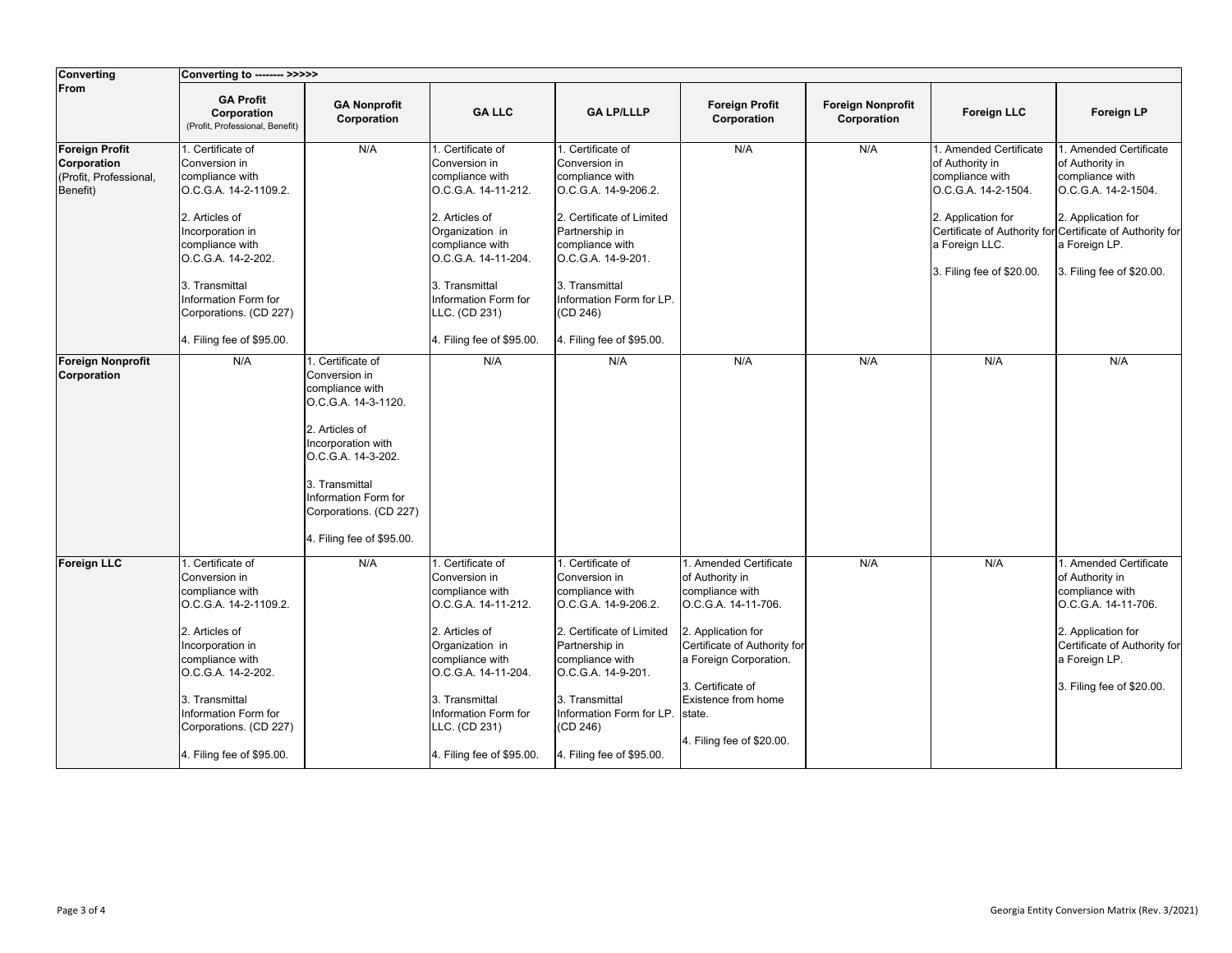| <b>Converting</b>                                                          | Converting to -------- >>>>>                                                                                                                                                                                                                                  |                                                                                                                                                                                                                                            |                                                                                                                                                                                                                                                     |                                                                                                                                                                                                                                                              |                                                                                                                                                                                                                                                        |                                         |                                                                                                                                                          |                                                                                                                                                                                                                      |
|----------------------------------------------------------------------------|---------------------------------------------------------------------------------------------------------------------------------------------------------------------------------------------------------------------------------------------------------------|--------------------------------------------------------------------------------------------------------------------------------------------------------------------------------------------------------------------------------------------|-----------------------------------------------------------------------------------------------------------------------------------------------------------------------------------------------------------------------------------------------------|--------------------------------------------------------------------------------------------------------------------------------------------------------------------------------------------------------------------------------------------------------------|--------------------------------------------------------------------------------------------------------------------------------------------------------------------------------------------------------------------------------------------------------|-----------------------------------------|----------------------------------------------------------------------------------------------------------------------------------------------------------|----------------------------------------------------------------------------------------------------------------------------------------------------------------------------------------------------------------------|
| From                                                                       | <b>GA Profit</b><br>Corporation<br>(Profit, Professional, Benefit)                                                                                                                                                                                            | <b>GA Nonprofit</b><br>Corporation                                                                                                                                                                                                         | <b>GA LLC</b>                                                                                                                                                                                                                                       | <b>GA LP/LLLP</b>                                                                                                                                                                                                                                            | <b>Foreign Profit</b><br>Corporation                                                                                                                                                                                                                   | <b>Foreign Nonprofit</b><br>Corporation | <b>Foreign LLC</b>                                                                                                                                       | <b>Foreign LP</b>                                                                                                                                                                                                    |
| <b>Foreign Profit</b><br>Corporation<br>(Profit, Professional,<br>Benefit) | . Certificate of<br>Conversion in<br>compliance with<br>O.C.G.A. 14-2-1109.2.<br>2. Articles of<br>Incorporation in<br>compliance with<br>O.C.G.A. 14-2-202.<br>3. Transmittal<br>Information Form for<br>Corporations. (CD 227)<br>4. Filing fee of \$95.00. | N/A                                                                                                                                                                                                                                        | 1. Certificate of<br>Conversion in<br>compliance with<br>O.C.G.A. 14-11-212.<br>2. Articles of<br>Organization in<br>compliance with<br>O.C.G.A. 14-11-204.<br>3. Transmittal<br>Information Form for<br>LLC. (CD 231)<br>4. Filing fee of \$95.00. | 1. Certificate of<br>Conversion in<br>compliance with<br>O.C.G.A. 14-9-206.2.<br>2. Certificate of Limited<br>Partnership in<br>compliance with<br>O.C.G.A. 14-9-201.<br>3. Transmittal<br>Information Form for LP.<br>(CD 246)<br>4. Filing fee of \$95.00. | N/A                                                                                                                                                                                                                                                    | N/A                                     | 1. Amended Certificate<br>of Authority in<br>compliance with<br>O.C.G.A. 14-2-1504.<br>2. Application for<br>a Foreign LLC.<br>3. Filing fee of \$20.00. | 1. Amended Certificate<br>of Authority in<br>compliance with<br>O.C.G.A. 14-2-1504.<br>2. Application for<br>Certificate of Authority for Certificate of Authority for<br>a Foreign LP.<br>3. Filing fee of \$20.00. |
| <b>Foreign Nonprofit</b><br>Corporation                                    | N/A                                                                                                                                                                                                                                                           | 1. Certificate of<br>Conversion in<br>compliance with<br>O.C.G.A. 14-3-1120.<br>2. Articles of<br>Incorporation with<br>O.C.G.A. 14-3-202.<br>3. Transmittal<br>nformation Form for<br>Corporations. (CD 227)<br>4. Filing fee of \$95.00. | N/A                                                                                                                                                                                                                                                 | N/A                                                                                                                                                                                                                                                          | N/A                                                                                                                                                                                                                                                    | N/A                                     | N/A                                                                                                                                                      | N/A                                                                                                                                                                                                                  |
| <b>Foreign LLC</b>                                                         | . Certificate of<br>Conversion in<br>compliance with<br>O.C.G.A. 14-2-1109.2.<br>2. Articles of<br>Incorporation in<br>compliance with<br>O.C.G.A. 14-2-202.<br>3. Transmittal<br>Information Form for<br>Corporations. (CD 227)<br>4. Filing fee of \$95.00. | N/A                                                                                                                                                                                                                                        | 1. Certificate of<br>Conversion in<br>compliance with<br>O.C.G.A. 14-11-212.<br>2. Articles of<br>Organization in<br>compliance with<br>O.C.G.A. 14-11-204.<br>3. Transmittal<br>Information Form for<br>LLC. (CD 231)<br>4. Filing fee of \$95.00. | 1. Certificate of<br>Conversion in<br>compliance with<br>O.C.G.A. 14-9-206.2.<br>2. Certificate of Limited<br>Partnership in<br>compliance with<br>O.C.G.A. 14-9-201.<br>3. Transmittal<br>Information Form for LP.<br>(CD 246)<br>4. Filing fee of \$95.00. | 1. Amended Certificate<br>of Authority in<br>compliance with<br>O.C.G.A. 14-11-706.<br>2. Application for<br>Certificate of Authority for<br>a Foreign Corporation.<br>3. Certificate of<br>Existence from home<br>state.<br>4. Filing fee of \$20.00. | N/A                                     | N/A                                                                                                                                                      | 1. Amended Certificate<br>of Authority in<br>compliance with<br>O.C.G.A. 14-11-706.<br>2. Application for<br>Certificate of Authority for<br>a Foreign LP.<br>3. Filing fee of \$20.00.                              |